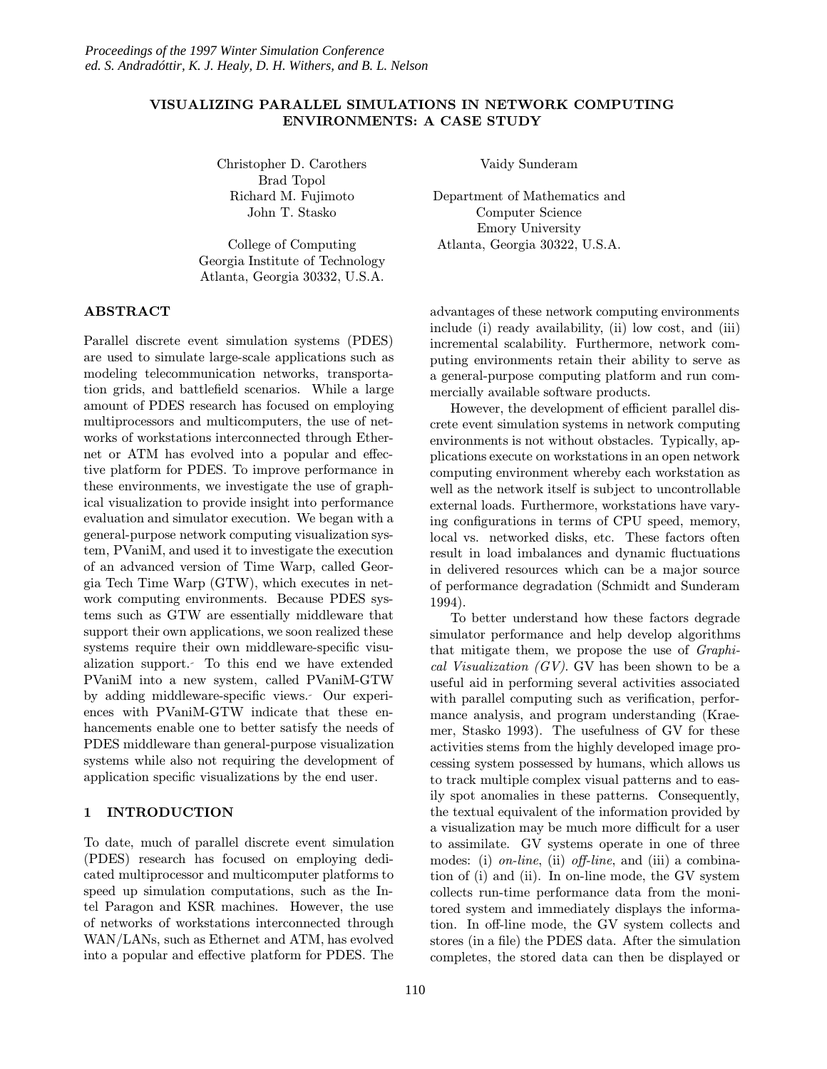# VISUALIZING PARALLEL SIMULATIONS IN NETWORK COMPUTING ENVIRONMENTS: A CASE STUDY

Christopher D. Carothers Brad Topol Richard M. Fujimoto John T. Stasko

College of Computing Georgia Institute of Technology Atlanta, Georgia 30332, U.S.A.

# ABSTRACT

Parallel discrete event simulation systems (PDES) are used to simulate large-scale applications such as modeling telecommunication networks, transportation grids, and battlefield scenarios. While a large amount of PDES research has focused on employing multiprocessors and multicomputers, the use of networks of workstations interconnected through Ethernet or ATM has evolved into a popular and effective platform for PDES. To improve performance in these environments, we investigate the use of graphical visualization to provide insight into performance evaluation and simulator execution. We began with a general-purpose network computing visualization system, PVaniM, and used it to investigate the execution of an advanced version of Time Warp, called Georgia Tech Time Warp (GTW), which executes in network computing environments. Because PDES systems such as GTW are essentially middleware that support their own applications, we soon realized these systems require their own middleware-specific visualization support. To this end we have extended PVaniM into a new system, called PVaniM-GTW by adding middleware-specific views. Our experiences with PVaniM-GTW indicate that these enhancements enable one to better satisfy the needs of PDES middleware than general-purpose visualization systems while also not requiring the development of application specific visualizations by the end user.

## 1 INTRODUCTION

To date, much of parallel discrete event simulation (PDES) research has focused on employing dedicated multiprocessor and multicomputer platforms to speed up simulation computations, such as the Intel Paragon and KSR machines. However, the use of networks of workstations interconnected through WAN/LANs, such as Ethernet and ATM, has evolved into a popular and effective platform for PDES. The

Vaidy Sunderam

Department of Mathematics and Computer Science Emory University Atlanta, Georgia 30322, U.S.A.

advantages of these network computing environments include (i) ready availability, (ii) low cost, and (iii) incremental scalability. Furthermore, network computing environments retain their ability to serve as a general-purpose computing platform and run commercially available software products.

However, the development of efficient parallel discrete event simulation systems in network computing environments is not without obstacles. Typically, applications execute on workstations in an open network computing environment whereby each workstation as well as the network itself is subject to uncontrollable external loads. Furthermore, workstations have varying configurations in terms of CPU speed, memory, local vs. networked disks, etc. These factors often result in load imbalances and dynamic fluctuations in delivered resources which can be a major source of performance degradation (Schmidt and Sunderam 1994).

To better understand how these factors degrade simulator performance and help develop algorithms that mitigate them, we propose the use of Graphical Visualization (GV). GV has been shown to be a useful aid in performing several activities associated with parallel computing such as verification, performance analysis, and program understanding (Kraemer, Stasko 1993). The usefulness of GV for these activities stems from the highly developed image processing system possessed by humans, which allows us to track multiple complex visual patterns and to easily spot anomalies in these patterns. Consequently, the textual equivalent of the information provided by a visualization may be much more difficult for a user to assimilate. GV systems operate in one of three modes: (i) *on-line*, (ii) *off-line*, and (iii) a combination of (i) and (ii). In on-line mode, the GV system collects run-time performance data from the monitored system and immediately displays the information. In off-line mode, the GV system collects and stores (in a file) the PDES data. After the simulation completes, the stored data can then be displayed or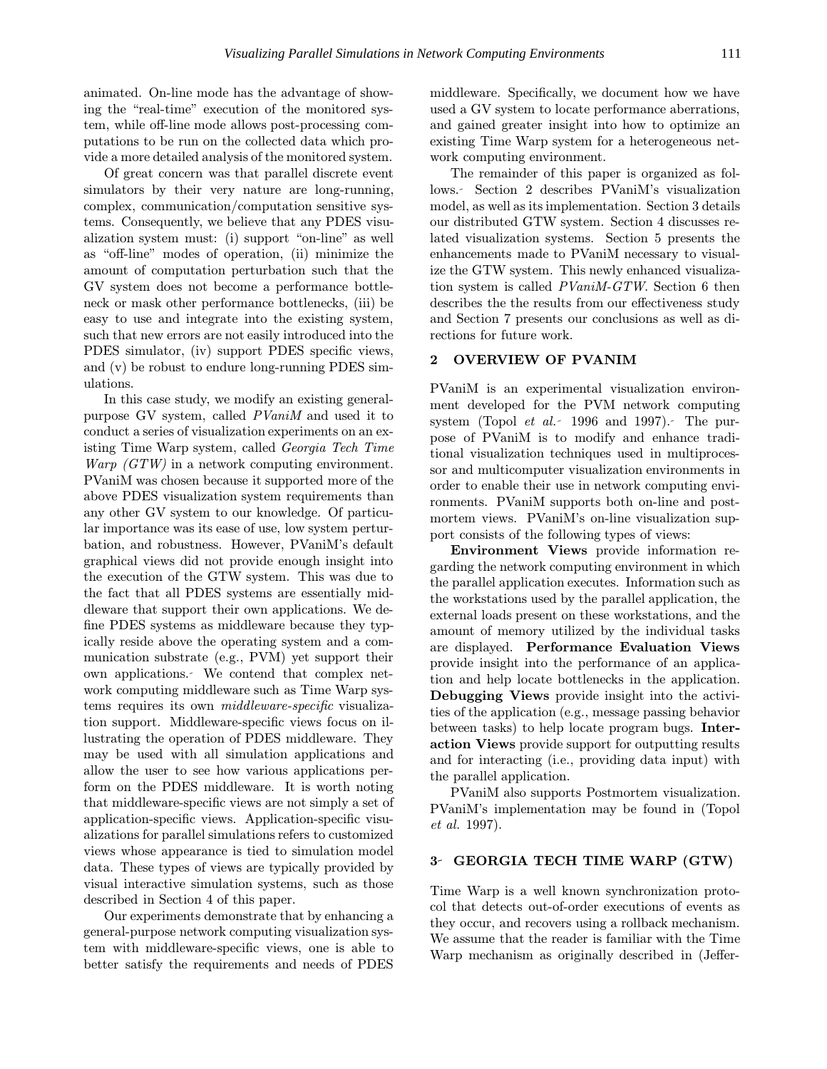animated. On-line mode has the advantage of showing the "real-time" execution of the monitored system, while off-line mode allows post-processing computations to be run on the collected data which provide a more detailed analysis of the monitored system.

Of great concern was that parallel discrete event simulators by their very nature are long-running, complex, communication/computation sensitive systems. Consequently, we believe that any PDES visualization system must: (i) support "on-line" as well as "off-line" modes of operation, (ii) minimize the amount of computation perturbation such that the GV system does not become a performance bottleneck or mask other performance bottlenecks, (iii) be easy to use and integrate into the existing system, such that new errors are not easily introduced into the PDES simulator, (iv) support PDES specific views, and (v) be robust to endure long-running PDES simulations.

In this case study, we modify an existing generalpurpose GV system, called PVaniM and used it to conduct a series of visualization experiments on an existing Time Warp system, called Georgia Tech Time Warp (GTW) in a network computing environment. PVaniM was chosen because it supported more of the above PDES visualization system requirements than any other GV system to our knowledge. Of particular importance was its ease of use, low system perturbation, and robustness. However, PVaniM's default graphical views did not provide enough insight into the execution of the GTW system. This was due to the fact that all PDES systems are essentially middleware that support their own applications. We define PDES systems as middleware because they typically reside above the operating system and a communication substrate (e.g., PVM) yet support their own applications. We contend that complex network computing middleware such as Time Warp systems requires its own middleware-specific visualization support. Middleware-specific views focus on illustrating the operation of PDES middleware. They may be used with all simulation applications and allow the user to see how various applications perform on the PDES middleware. It is worth noting that middleware-specific views are not simply a set of application-specific views. Application-specific visualizations for parallel simulations refers to customized views whose appearance is tied to simulation model data. These types of views are typically provided by visual interactive simulation systems, such as those described in Section 4 of this paper.

Our experiments demonstrate that by enhancing a general-purpose network computing visualization system with middleware-specific views, one is able to better satisfy the requirements and needs of PDES middleware. Specifically, we document how we have used a GV system to locate performance aberrations, and gained greater insight into how to optimize an existing Time Warp system for a heterogeneous network computing environment.

The remainder of this paper is organized as follows. Section 2 describes PVaniM's visualization model, as well as its implementation. Section 3 details our distributed GTW system. Section 4 discusses related visualization systems. Section 5 presents the enhancements made to PVaniM necessary to visualize the GTW system. This newly enhanced visualization system is called PVaniM-GTW. Section 6 then describes the the results from our effectiveness study and Section 7 presents our conclusions as well as directions for future work.

## 2 OVERVIEW OF PVANIM

PVaniM is an experimental visualization environment developed for the PVM network computing system (Topol et al. 1996 and 1997). The purpose of PVaniM is to modify and enhance traditional visualization techniques used in multiprocessor and multicomputer visualization environments in order to enable their use in network computing environments. PVaniM supports both on-line and postmortem views. PVaniM's on-line visualization support consists of the following types of views:

Environment Views provide information regarding the network computing environment in which the parallel application executes. Information such as the workstations used by the parallel application, the external loads present on these workstations, and the amount of memory utilized by the individual tasks are displayed. Performance Evaluation Views provide insight into the performance of an application and help locate bottlenecks in the application. Debugging Views provide insight into the activities of the application (e.g., message passing behavior between tasks) to help locate program bugs. Interaction Views provide support for outputting results and for interacting (i.e., providing data input) with the parallel application.

PVaniM also supports Postmortem visualization. PVaniM's implementation may be found in (Topol et al. 1997).

### 3 GEORGIA TECH TIME WARP (GTW)

Time Warp is a well known synchronization protocol that detects out-of-order executions of events as they occur, and recovers using a rollback mechanism. We assume that the reader is familiar with the Time Warp mechanism as originally described in (Jeffer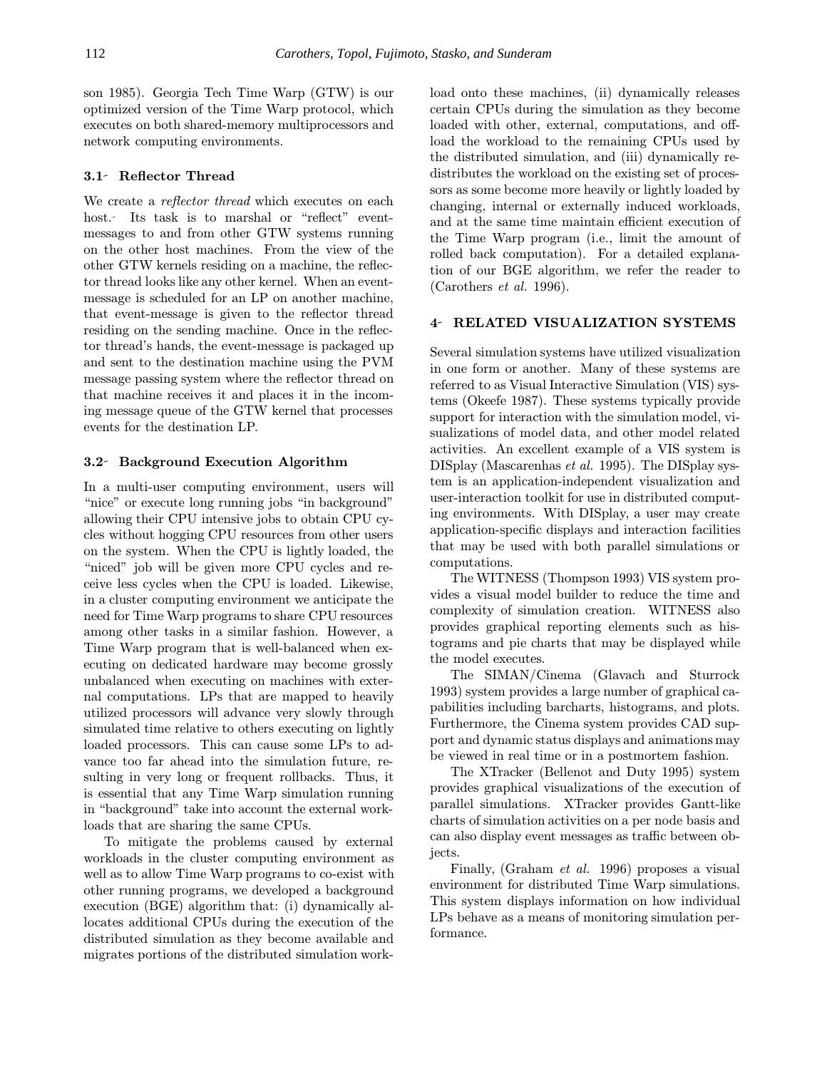son 1985). Georgia Tech Time Warp (GTW) is our optimized version of the Time Warp protocol, which executes on both shared-memory multiprocessors and network computing environments.

# 3.1- Reflector Thread

We create a reflector thread which executes on each host. Its task is to marshal or "reflect" eventmessages to and from other GTW systems running on the other host machines. From the view of the other GTW kernels residing on a machine, the reflector thread looks like any other kernel. When an eventmessage is scheduled for an LP on another machine, that event-message is given to the reflector thread residing on the sending machine. Once in the reflector thread's hands, the event-message is packaged up and sent to the destination machine using the PVM message passing system where the reflector thread on that machine receives it and places it in the incoming message queue of the GTW kernel that processes events for the destination LP.

#### 3.2 Background Execution Algorithm

In a multi-user computing environment, users will "nice" or execute long running jobs "in background" allowing their CPU intensive jobs to obtain CPU cycles without hogging CPU resources from other users on the system. When the CPU is lightly loaded, the "niced" job will be given more CPU cycles and receive less cycles when the CPU is loaded. Likewise, in a cluster computing environment we anticipate the need for Time Warp programs to share CPU resources among other tasks in a similar fashion. However, a Time Warp program that is well-balanced when executing on dedicated hardware may become grossly unbalanced when executing on machines with external computations. LPs that are mapped to heavily utilized processors will advance very slowly through simulated time relative to others executing on lightly loaded processors. This can cause some LPs to advance too far ahead into the simulation future, resulting in very long or frequent rollbacks. Thus, it is essential that any Time Warp simulation running in "background" take into account the external workloads that are sharing the same CPUs.

To mitigate the problems caused by external workloads in the cluster computing environment as well as to allow Time Warp programs to co-exist with other running programs, we developed a background execution (BGE) algorithm that: (i) dynamically allocates additional CPUs during the execution of the distributed simulation as they become available and migrates portions of the distributed simulation workload onto these machines, (ii) dynamically releases certain CPUs during the simulation as they become loaded with other, external, computations, and offload the workload to the remaining CPUs used by the distributed simulation, and (iii) dynamically redistributes the workload on the existing set of processors as some become more heavily or lightly loaded by changing, internal or externally induced workloads, and at the same time maintain efficient execution of the Time Warp program (i.e., limit the amount of rolled back computation). For a detailed explanation of our BGE algorithm, we refer the reader to (Carothers et al. 1996).

### 4 RELATED VISUALIZATION SYSTEMS

Several simulation systems have utilized visualization in one form or another. Many of these systems are referred to as Visual Interactive Simulation (VIS) systems (Okeefe 1987). These systems typically provide support for interaction with the simulation model, visualizations of model data, and other model related activities. An excellent example of a VIS system is DISplay (Mascarenhas et al. 1995). The DISplay system is an application-independent visualization and user-interaction toolkit for use in distributed computing environments. With DISplay, a user may create application-specific displays and interaction facilities that may be used with both parallel simulations or computations.

The WITNESS (Thompson 1993) VIS system provides a visual model builder to reduce the time and complexity of simulation creation. WITNESS also provides graphical reporting elements such as histograms and pie charts that may be displayed while the model executes.

The SIMAN/Cinema (Glavach and Sturrock 1993) system provides a large number of graphical capabilities including barcharts, histograms, and plots. Furthermore, the Cinema system provides CAD support and dynamic status displays and animations may be viewed in real time or in a postmortem fashion.

The XTracker (Bellenot and Duty 1995) system provides graphical visualizations of the execution of parallel simulations. XTracker provides Gantt-like charts of simulation activities on a per node basis and can also display event messages as traffic between objects.

Finally, (Graham et al. 1996) proposes a visual environment for distributed Time Warp simulations. This system displays information on how individual LPs behave as a means of monitoring simulation performance.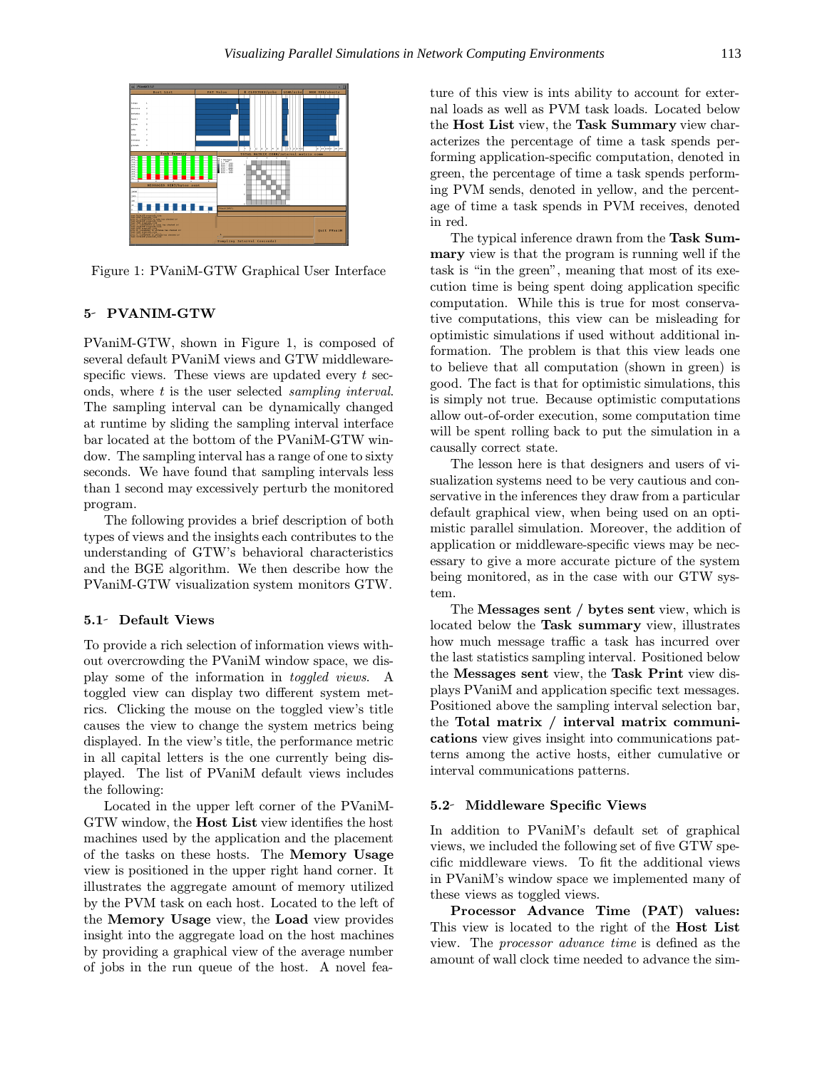

Figure 1: PVaniM-GTW Graphical User Interface

### 5- PVANIM-GTW

PVaniM-GTW, shown in Figure 1, is composed of several default PVaniM views and GTW middlewarespecific views. These views are updated every  $t$  seconds, where t is the user selected sampling interval. The sampling interval can be dynamically changed at runtime by sliding the sampling interval interface bar located at the bottom of the PVaniM-GTW window. The sampling interval has a range of one to sixty seconds. We have found that sampling intervals less than 1 second may excessively perturb the monitored program.

The following provides a brief description of both types of views and the insights each contributes to the understanding of GTW's behavioral characteristics and the BGE algorithm. We then describe how the PVaniM-GTW visualization system monitors GTW.

#### 5.1- Default Views

To provide a rich selection of information views without overcrowding the PVaniM window space, we display some of the information in toggled views. A toggled view can display two different system metrics. Clicking the mouse on the toggled view's title causes the view to change the system metrics being displayed. In the view's title, the performance metric in all capital letters is the one currently being displayed. The list of PVaniM default views includes the following:

Located in the upper left corner of the PVaniM-GTW window, the Host List view identifies the host machines used by the application and the placement of the tasks on these hosts. The Memory Usage view is positioned in the upper right hand corner. It illustrates the aggregate amount of memory utilized by the PVM task on each host. Located to the left of the Memory Usage view, the Load view provides insight into the aggregate load on the host machines by providing a graphical view of the average number of jobs in the run queue of the host. A novel feature of this view is ints ability to account for external loads as well as PVM task loads. Located below the Host List view, the Task Summary view characterizes the percentage of time a task spends performing application-specific computation, denoted in green, the percentage of time a task spends performing PVM sends, denoted in yellow, and the percentage of time a task spends in PVM receives, denoted in red.

The typical inference drawn from the Task Summary view is that the program is running well if the task is "in the green", meaning that most of its execution time is being spent doing application specific computation. While this is true for most conservative computations, this view can be misleading for optimistic simulations if used without additional information. The problem is that this view leads one to believe that all computation (shown in green) is good. The fact is that for optimistic simulations, this is simply not true. Because optimistic computations allow out-of-order execution, some computation time will be spent rolling back to put the simulation in a causally correct state.

The lesson here is that designers and users of visualization systems need to be very cautious and conservative in the inferences they draw from a particular default graphical view, when being used on an optimistic parallel simulation. Moreover, the addition of application or middleware-specific views may be necessary to give a more accurate picture of the system being monitored, as in the case with our GTW system.

The Messages sent / bytes sent view, which is located below the Task summary view, illustrates how much message traffic a task has incurred over the last statistics sampling interval. Positioned below the Messages sent view, the Task Print view displays PVaniM and application specific text messages. Positioned above the sampling interval selection bar, the Total matrix / interval matrix communications view gives insight into communications patterns among the active hosts, either cumulative or interval communications patterns.

### 5.2 Middleware Specific Views

In addition to PVaniM's default set of graphical views, we included the following set of five GTW specific middleware views. To fit the additional views in PVaniM's window space we implemented many of these views as toggled views.

Processor Advance Time (PAT) values: This view is located to the right of the Host List view. The processor advance time is defined as the amount of wall clock time needed to advance the sim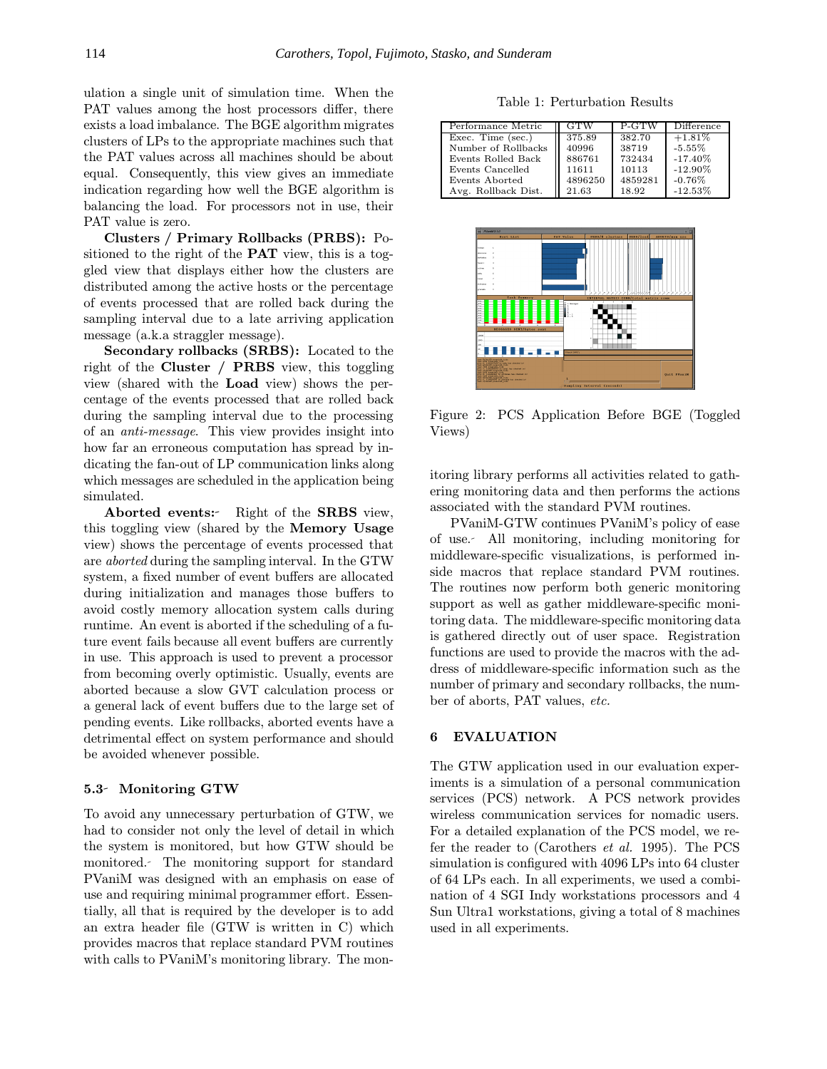ulation a single unit of simulation time. When the PAT values among the host processors differ, there exists a load imbalance. The BGE algorithm migrates clusters of LPs to the appropriate machines such that the PAT values across all machines should be about equal. Consequently, this view gives an immediate indication regarding how well the BGE algorithm is balancing the load. For processors not in use, their PAT value is zero.

Clusters / Primary Rollbacks (PRBS): Positioned to the right of the PAT view, this is a toggled view that displays either how the clusters are distributed among the active hosts or the percentage of events processed that are rolled back during the sampling interval due to a late arriving application message (a.k.a straggler message).

Secondary rollbacks (SRBS): Located to the right of the Cluster / PRBS view, this toggling view (shared with the Load view) shows the percentage of the events processed that are rolled back during the sampling interval due to the processing of an anti-message. This view provides insight into how far an erroneous computation has spread by indicating the fan-out of LP communication links along which messages are scheduled in the application being simulated.

Aborted events: Right of the SRBS view, this toggling view (shared by the Memory Usage view) shows the percentage of events processed that are aborted during the sampling interval. In the GTW system, a fixed number of event buffers are allocated during initialization and manages those buffers to avoid costly memory allocation system calls during runtime. An event is aborted if the scheduling of a future event fails because all event buffers are currently in use. This approach is used to prevent a processor from becoming overly optimistic. Usually, events are aborted because a slow GVT calculation process or a general lack of event buffers due to the large set of pending events. Like rollbacks, aborted events have a detrimental effect on system performance and should be avoided whenever possible.

# 5.3- Monitoring GTW

To avoid any unnecessary perturbation of GTW, we had to consider not only the level of detail in which the system is monitored, but how GTW should be monitored. The monitoring support for standard PVaniM was designed with an emphasis on ease of use and requiring minimal programmer effort. Essentially, all that is required by the developer is to add an extra header file (GTW is written in C) which provides macros that replace standard PVM routines with calls to PVaniM's monitoring library. The mon-

Table 1: Perturbation Results

| Performance Metric  | <b>GTW</b> | P-GTW   | Difference |
|---------------------|------------|---------|------------|
| Exec. Time (sec.)   | 375.89     | 382.70  | $+1.81\%$  |
| Number of Rollbacks | 40996      | 38719   | $-5.55\%$  |
| Events Rolled Back  | 886761     | 732434  | $-17.40\%$ |
| Events Cancelled    | 11611      | 10113   | $-12.90\%$ |
| Events Aborted      | 4896250    | 4859281 | $-0.76\%$  |
| Avg. Rollback Dist. | 21.63      | 18.92   | $-12.53\%$ |



Figure 2: PCS Application Before BGE (Toggled Views)

itoring library performs all activities related to gathering monitoring data and then performs the actions associated with the standard PVM routines.

PVaniM-GTW continues PVaniM's policy of ease of use. All monitoring, including monitoring for middleware-specific visualizations, is performed inside macros that replace standard PVM routines. The routines now perform both generic monitoring support as well as gather middleware-specific monitoring data. The middleware-specific monitoring data is gathered directly out of user space. Registration functions are used to provide the macros with the address of middleware-specific information such as the number of primary and secondary rollbacks, the number of aborts, PAT values, etc.

#### 6 EVALUATION

The GTW application used in our evaluation experiments is a simulation of a personal communication services (PCS) network. A PCS network provides wireless communication services for nomadic users. For a detailed explanation of the PCS model, we refer the reader to (Carothers et al. 1995). The PCS simulation is configured with 4096 LPs into 64 cluster of 64 LPs each. In all experiments, we used a combination of 4 SGI Indy workstations processors and 4 Sun Ultra1 workstations, giving a total of 8 machines used in all experiments.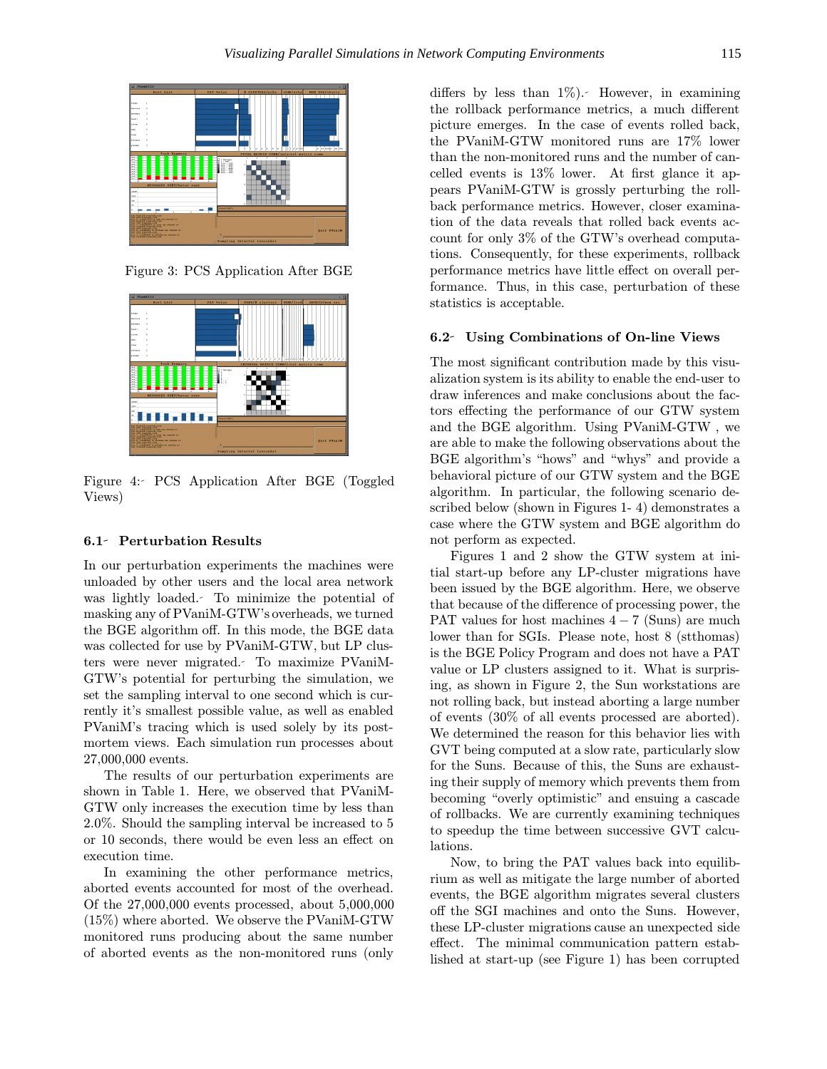

Figure 3: PCS Application After BGE



Figure 4: PCS Application After BGE (Toggled Views)

## 6.1 Perturbation Results

In our perturbation experiments the machines were unloaded by other users and the local area network was lightly loaded. To minimize the potential of masking any of PVaniM-GTW's overheads, we turned the BGE algorithm off. In this mode, the BGE data was collected for use by PVaniM-GTW, but LP clusters were never migrated. To maximize PVaniM-GTW's potential for perturbing the simulation, we set the sampling interval to one second which is currently it's smallest possible value, as well as enabled PVaniM's tracing which is used solely by its postmortem views. Each simulation run processes about 27,000,000 events.

The results of our perturbation experiments are shown in Table 1. Here, we observed that PVaniM-GTW only increases the execution time by less than 2.0%. Should the sampling interval be increased to 5 or 10 seconds, there would be even less an effect on execution time.

In examining the other performance metrics, aborted events accounted for most of the overhead. Of the 27,000,000 events processed, about 5,000,000 (15%) where aborted. We observe the PVaniM-GTW monitored runs producing about the same number of aborted events as the non-monitored runs (only

differs by less than  $1\%$ ). However, in examining the rollback performance metrics, a much different picture emerges. In the case of events rolled back, the PVaniM-GTW monitored runs are 17% lower than the non-monitored runs and the number of cancelled events is 13% lower. At first glance it appears PVaniM-GTW is grossly perturbing the rollback performance metrics. However, closer examination of the data reveals that rolled back events account for only 3% of the GTW's overhead computations. Consequently, for these experiments, rollback performance metrics have little effect on overall performance. Thus, in this case, perturbation of these statistics is acceptable.

## 6.2 Using Combinations of On-line Views

The most significant contribution made by this visualization system is its ability to enable the end-user to draw inferences and make conclusions about the factors effecting the performance of our GTW system and the BGE algorithm. Using PVaniM-GTW , we are able to make the following observations about the BGE algorithm's "hows" and "whys" and provide a behavioral picture of our GTW system and the BGE algorithm. In particular, the following scenario described below (shown in Figures 1- 4) demonstrates a case where the GTW system and BGE algorithm do not perform as expected.

Figures 1 and 2 show the GTW system at initial start-up before any LP-cluster migrations have been issued by the BGE algorithm. Here, we observe that because of the difference of processing power, the PAT values for host machines  $4 - 7$  (Suns) are much lower than for SGIs. Please note, host 8 (stthomas) is the BGE Policy Program and does not have a PAT value or LP clusters assigned to it. What is surprising, as shown in Figure 2, the Sun workstations are not rolling back, but instead aborting a large number of events (30% of all events processed are aborted). We determined the reason for this behavior lies with GVT being computed at a slow rate, particularly slow for the Suns. Because of this, the Suns are exhausting their supply of memory which prevents them from becoming "overly optimistic" and ensuing a cascade of rollbacks. We are currently examining techniques to speedup the time between successive GVT calculations.

Now, to bring the PAT values back into equilibrium as well as mitigate the large number of aborted events, the BGE algorithm migrates several clusters off the SGI machines and onto the Suns. However, these LP-cluster migrations cause an unexpected side effect. The minimal communication pattern established at start-up (see Figure 1) has been corrupted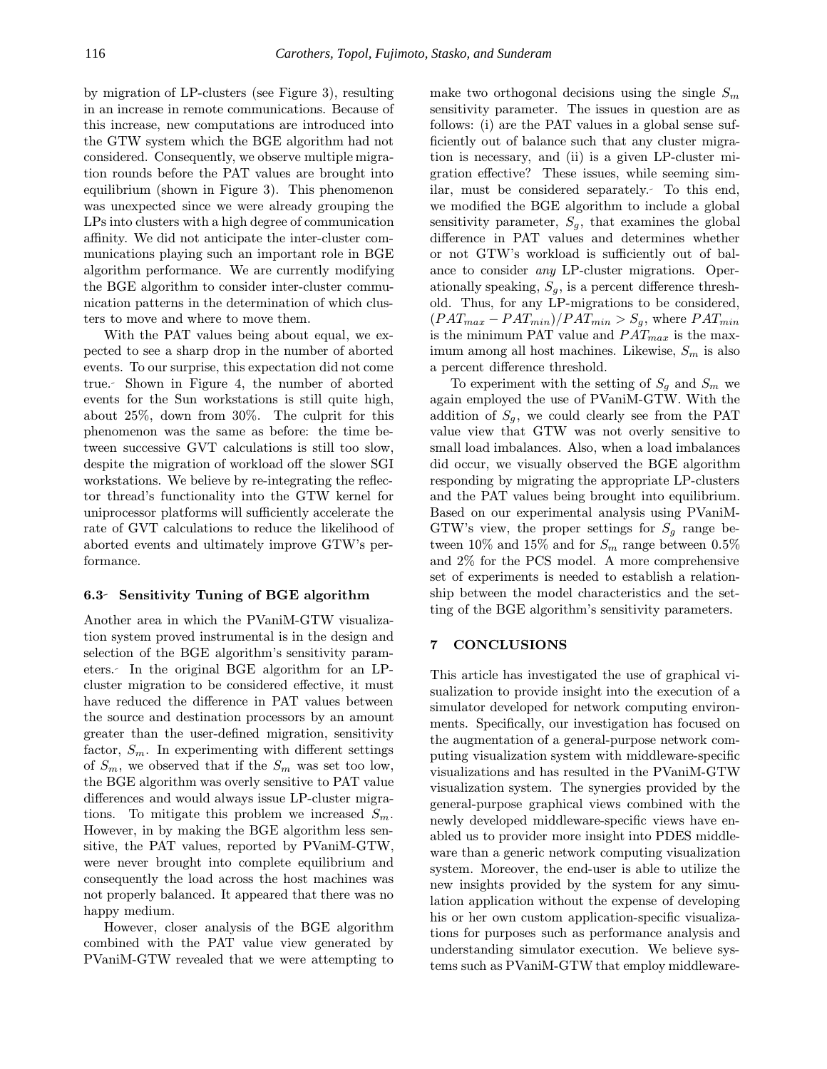by migration of LP-clusters (see Figure 3), resulting in an increase in remote communications. Because of this increase, new computations are introduced into the GTW system which the BGE algorithm had not considered. Consequently, we observe multiple migration rounds before the PAT values are brought into equilibrium (shown in Figure 3). This phenomenon was unexpected since we were already grouping the LPs into clusters with a high degree of communication affinity. We did not anticipate the inter-cluster communications playing such an important role in BGE algorithm performance. We are currently modifying the BGE algorithm to consider inter-cluster communication patterns in the determination of which clusters to move and where to move them.

With the PAT values being about equal, we expected to see a sharp drop in the number of aborted events. To our surprise, this expectation did not come true. Shown in Figure 4, the number of aborted events for the Sun workstations is still quite high, about 25%, down from 30%. The culprit for this phenomenon was the same as before: the time between successive GVT calculations is still too slow, despite the migration of workload off the slower SGI workstations. We believe by re-integrating the reflector thread's functionality into the GTW kernel for uniprocessor platforms will sufficiently accelerate the rate of GVT calculations to reduce the likelihood of aborted events and ultimately improve GTW's performance.

### 6.3 Sensitivity Tuning of BGE algorithm

Another area in which the PVaniM-GTW visualization system proved instrumental is in the design and selection of the BGE algorithm's sensitivity parameters. In the original BGE algorithm for an LPcluster migration to be considered effective, it must have reduced the difference in PAT values between the source and destination processors by an amount greater than the user-defined migration, sensitivity factor,  $S_m$ . In experimenting with different settings of  $S_m$ , we observed that if the  $S_m$  was set too low, the BGE algorithm was overly sensitive to PAT value differences and would always issue LP-cluster migrations. To mitigate this problem we increased  $S_m$ . However, in by making the BGE algorithm less sensitive, the PAT values, reported by PVaniM-GTW, were never brought into complete equilibrium and consequently the load across the host machines was not properly balanced. It appeared that there was no happy medium.

However, closer analysis of the BGE algorithm combined with the PAT value view generated by PVaniM-GTW revealed that we were attempting to make two orthogonal decisions using the single  $S_m$ sensitivity parameter. The issues in question are as follows: (i) are the PAT values in a global sense sufficiently out of balance such that any cluster migration is necessary, and (ii) is a given LP-cluster migration effective? These issues, while seeming similar, must be considered separately. To this end, we modified the BGE algorithm to include a global sensitivity parameter,  $S_g$ , that examines the global difference in PAT values and determines whether or not GTW's workload is sufficiently out of balance to consider any LP-cluster migrations. Operationally speaking,  $S_q$ , is a percent difference threshold. Thus, for any LP-migrations to be considered,  $(PAT_{max} - PAT_{min})/PATH_{min} > S_q$ , where  $PATH_{min}$ is the minimum PAT value and  $PAT_{max}$  is the maximum among all host machines. Likewise,  $S_m$  is also a percent difference threshold.

To experiment with the setting of  $S_q$  and  $S_m$  we again employed the use of PVaniM-GTW. With the addition of  $S_q$ , we could clearly see from the PAT value view that GTW was not overly sensitive to small load imbalances. Also, when a load imbalances did occur, we visually observed the BGE algorithm responding by migrating the appropriate LP-clusters and the PAT values being brought into equilibrium. Based on our experimental analysis using PVaniM-GTW's view, the proper settings for  $S_q$  range between 10% and 15% and for  $S_m$  range between 0.5% and 2% for the PCS model. A more comprehensive set of experiments is needed to establish a relationship between the model characteristics and the setting of the BGE algorithm's sensitivity parameters.

## 7 CONCLUSIONS

This article has investigated the use of graphical visualization to provide insight into the execution of a simulator developed for network computing environments. Specifically, our investigation has focused on the augmentation of a general-purpose network computing visualization system with middleware-specific visualizations and has resulted in the PVaniM-GTW visualization system. The synergies provided by the general-purpose graphical views combined with the newly developed middleware-specific views have enabled us to provider more insight into PDES middleware than a generic network computing visualization system. Moreover, the end-user is able to utilize the new insights provided by the system for any simulation application without the expense of developing his or her own custom application-specific visualizations for purposes such as performance analysis and understanding simulator execution. We believe systems such as PVaniM-GTW that employ middleware